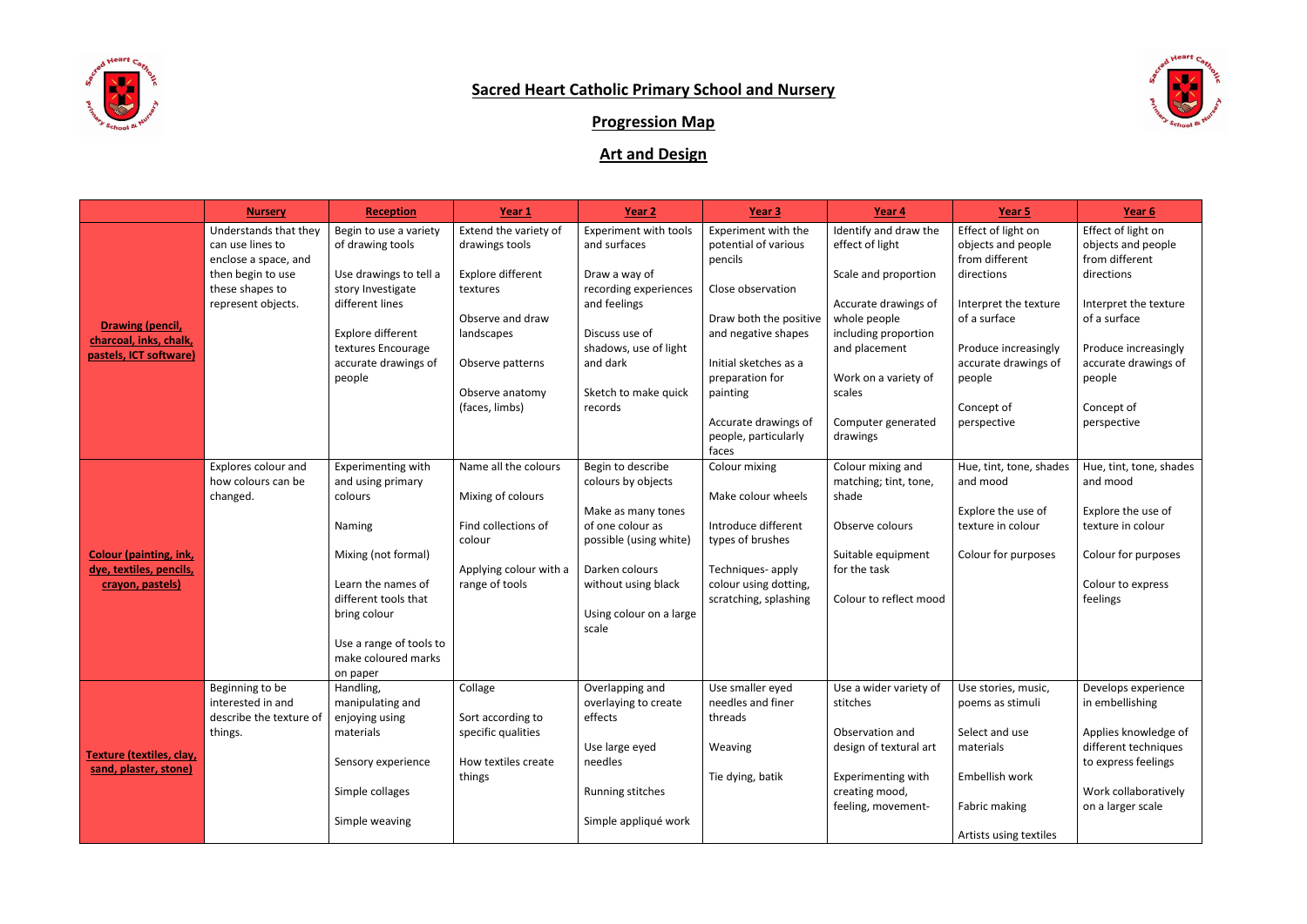

## **Sacred Heart Catholic Primary School and Nursery**

## **Progression Map**

## **Art and Design**

|                                                                              | <b>Nursery</b>                                                                         | <b>Reception</b>                                                     | Year 1                                                       | Year 2                                                           | Year 3                                                             | Year 4                                                             | Year 5                                                                   | Year 6                                                                   |
|------------------------------------------------------------------------------|----------------------------------------------------------------------------------------|----------------------------------------------------------------------|--------------------------------------------------------------|------------------------------------------------------------------|--------------------------------------------------------------------|--------------------------------------------------------------------|--------------------------------------------------------------------------|--------------------------------------------------------------------------|
| <b>Drawing (pencil,</b><br>charcoal, inks, chalk,<br>pastels, ICT software)  | Understands that they<br>can use lines to<br>enclose a space, and<br>then begin to use | Begin to use a variety<br>of drawing tools<br>Use drawings to tell a | Extend the variety of<br>drawings tools<br>Explore different | <b>Experiment with tools</b><br>and surfaces<br>Draw a way of    | Experiment with the<br>potential of various<br>pencils             | Identify and draw the<br>effect of light<br>Scale and proportion   | Effect of light on<br>objects and people<br>from different<br>directions | Effect of light on<br>objects and people<br>from different<br>directions |
|                                                                              | these shapes to<br>represent objects.                                                  | story Investigate<br>different lines<br>Explore different            | textures<br>Observe and draw<br>landscapes                   | recording experiences<br>and feelings<br>Discuss use of          | Close observation<br>Draw both the positive<br>and negative shapes | Accurate drawings of<br>whole people<br>including proportion       | Interpret the texture<br>of a surface                                    | Interpret the texture<br>of a surface                                    |
|                                                                              |                                                                                        | textures Encourage<br>accurate drawings of<br>people                 | Observe patterns<br>Observe anatomy                          | shadows, use of light<br>and dark<br>Sketch to make quick        | Initial sketches as a<br>preparation for<br>painting               | and placement<br>Work on a variety of<br>scales                    | Produce increasingly<br>accurate drawings of<br>people                   | Produce increasingly<br>accurate drawings of<br>people                   |
|                                                                              |                                                                                        |                                                                      | (faces, limbs)                                               | records                                                          | Accurate drawings of<br>people, particularly<br>faces              | Computer generated<br>drawings                                     | Concept of<br>perspective                                                | Concept of<br>perspective                                                |
| <b>Colour (painting, ink,</b><br>dye, textiles, pencils,<br>crayon, pastels) | Explores colour and<br>how colours can be<br>changed.                                  | Experimenting with<br>and using primary<br>colours                   | Name all the colours<br>Mixing of colours                    | Begin to describe<br>colours by objects                          | Colour mixing<br>Make colour wheels                                | Colour mixing and<br>matching; tint, tone,<br>shade                | Hue, tint, tone, shades<br>and mood                                      | Hue, tint, tone, shades<br>and mood                                      |
|                                                                              |                                                                                        | Naming                                                               | Find collections of<br>colour                                | Make as many tones<br>of one colour as<br>possible (using white) | Introduce different<br>types of brushes                            | Observe colours                                                    | Explore the use of<br>texture in colour                                  | Explore the use of<br>texture in colour                                  |
|                                                                              |                                                                                        | Mixing (not formal)<br>Learn the names of                            | Applying colour with a<br>range of tools                     | Darken colours<br>without using black                            | Techniques- apply<br>colour using dotting,                         | Suitable equipment<br>for the task                                 | Colour for purposes                                                      | Colour for purposes<br>Colour to express                                 |
|                                                                              |                                                                                        | different tools that<br>bring colour                                 |                                                              | Using colour on a large<br>scale                                 | scratching, splashing                                              | Colour to reflect mood                                             |                                                                          | feelings                                                                 |
|                                                                              |                                                                                        | Use a range of tools to<br>make coloured marks<br>on paper           |                                                              |                                                                  |                                                                    |                                                                    |                                                                          |                                                                          |
| Texture (textiles, clay,<br>sand, plaster, stone)                            | Beginning to be<br>interested in and<br>describe the texture of                        | Handling,<br>manipulating and<br>enjoying using                      | Collage<br>Sort according to                                 | Overlapping and<br>overlaying to create<br>effects               | Use smaller eyed<br>needles and finer<br>threads                   | Use a wider variety of $\parallel$ Use stories, music,<br>stitches | poems as stimuli                                                         | Develops experience<br>in embellishing                                   |
|                                                                              | things.                                                                                | materials<br>Sensory experience                                      | specific qualities<br>How textiles create                    | Use large eyed<br>needles                                        | Weaving                                                            | Observation and<br>design of textural art                          | Select and use<br>materials                                              | Applies knowledge of<br>different techniques<br>to express feelings      |
|                                                                              |                                                                                        | Simple collages                                                      | things                                                       | Running stitches                                                 | Tie dying, batik                                                   | Experimenting with<br>creating mood,<br>feeling, movement-         | Embellish work<br>Fabric making                                          | Work collaboratively<br>on a larger scale                                |
|                                                                              |                                                                                        | Simple weaving                                                       |                                                              | Simple appliqué work                                             |                                                                    |                                                                    | Artists using textiles                                                   |                                                                          |